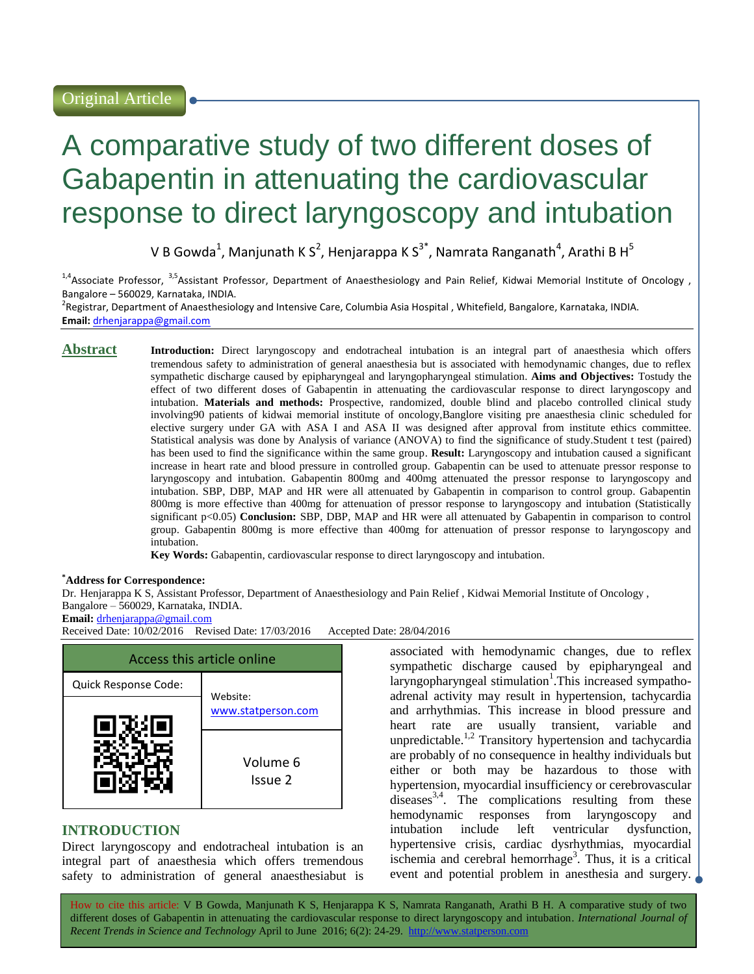# A comparative study of two different doses of Gabapentin in attenuating the cardiovascular response to direct laryngoscopy and intubation

V B Gowda<sup>1</sup>, Manjunath K S<sup>2</sup>, Henjarappa K S<sup>3\*</sup>, Namrata Ranganath<sup>4</sup>, Arathi B H<sup>5</sup>

<sup>1,4</sup>Associate Professor, <sup>3,5</sup>Assistant Professor, Department of Anaesthesiology and Pain Relief, Kidwai Memorial Institute of Oncology, Bangalore – 560029, Karnataka, INDIA.

<sup>2</sup>Registrar, Department of Anaesthesiology and Intensive Care, Columbia Asia Hospital , Whitefield, Bangalore, Karnataka, INDIA. **Email:** [drhenjarappa@gmail.com](mailto:drhenjarappa@gmail.com)

**Abstract Introduction:** Direct laryngoscopy and endotracheal intubation is an integral part of anaesthesia which offers tremendous safety to administration of general anaesthesia but is associated with hemodynamic changes, due to reflex sympathetic discharge caused by epipharyngeal and laryngopharyngeal stimulation. **Aims and Objectives:** Tostudy the effect of two different doses of Gabapentin in attenuating the cardiovascular response to direct laryngoscopy and intubation. **Materials and methods:** Prospective, randomized, double blind and placebo controlled clinical study involving90 patients of kidwai memorial institute of oncology,Banglore visiting pre anaesthesia clinic scheduled for elective surgery under GA with ASA I and ASA II was designed after approval from institute ethics committee. Statistical analysis was done by Analysis of variance (ANOVA) to find the significance of study.Student t test (paired) has been used to find the significance within the same group. **Result:** Laryngoscopy and intubation caused a significant increase in heart rate and blood pressure in controlled group. Gabapentin can be used to attenuate pressor response to laryngoscopy and intubation. Gabapentin 800mg and 400mg attenuated the pressor response to laryngoscopy and intubation. SBP, DBP, MAP and HR were all attenuated by Gabapentin in comparison to control group. Gabapentin 800mg is more effective than 400mg for attenuation of pressor response to laryngoscopy and intubation (Statistically significant p<0.05) **Conclusion:** SBP, DBP, MAP and HR were all attenuated by Gabapentin in comparison to control group. Gabapentin 800mg is more effective than 400mg for attenuation of pressor response to laryngoscopy and intubation.

**Key Words:** Gabapentin, cardiovascular response to direct laryngoscopy and intubation.

#### **\*Address for Correspondence:**

Dr. Henjarappa K S, Assistant Professor, Department of Anaesthesiology and Pain Relief , Kidwai Memorial Institute of Oncology , Bangalore – 560029, Karnataka, INDIA.

#### **Email:** [drhenjarappa@gmail.com](mailto:drhenjarappa@gmail.com)

Received Date: 10/02/2016 Revised Date: 17/03/2016 Accepted Date: 28/04/2016



## **INTRODUCTION**

Direct laryngoscopy and endotracheal intubation is an integral part of anaesthesia which offers tremendous safety to administration of general anaesthesiabut is associated with hemodynamic changes, due to reflex sympathetic discharge caused by epipharyngeal and laryngopharyngeal stimulation<sup>1</sup>. This increased sympathoadrenal activity may result in hypertension, tachycardia and arrhythmias. This increase in blood pressure and heart rate are usually transient, variable and unpredictable.<sup>1,2</sup> Transitory hypertension and tachycardia are probably of no consequence in healthy individuals but either or both may be hazardous to those with hypertension, myocardial insufficiency or cerebrovascular  $diseases<sup>3,4</sup>$ . The complications resulting from these hemodynamic responses from laryngoscopy and intubation include left ventricular dysfunction, hypertensive crisis, cardiac dysrhythmias, myocardial ischemia and cerebral hemorrhage<sup>3</sup>. Thus, it is a critical event and potential problem in anesthesia and surgery.

How to cite this article: V B Gowda, Manjunath K S, Henjarappa K S, Namrata Ranganath, Arathi B H*.* A comparative study of two different doses of Gabapentin in attenuating the cardiovascular response to direct laryngoscopy and intubation. *International Journal of Recent Trends in Science and Technology* April to June 2016; 6(2): 24-29. http://www.statperson.com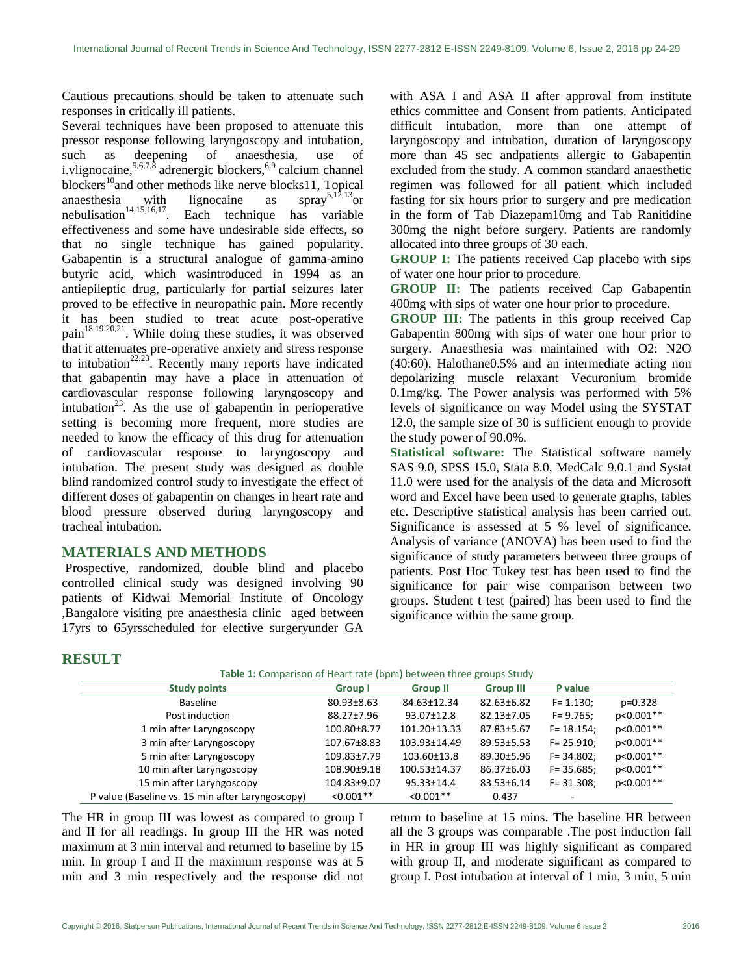Cautious precautions should be taken to attenuate such responses in critically ill patients.

Several techniques have been proposed to attenuate this pressor response following laryngoscopy and intubation, such as deepening of anaesthesia, use of i.vlignocaine,  $5,6,7,8$  adrenergic blockers,  $6,9$  calcium channel blockers<sup>10</sup> and other methods like nerve blocks11, Topical anaesthesia with lignocaine as<br>nebulisation<sup>14,15,16,17</sup>. Each technique spray<sup>5,12,13</sup>or Each technique has variable effectiveness and some have undesirable side effects, so that no single technique has gained popularity. Gabapentin is a structural analogue of gamma-amino butyric acid, which wasintroduced in 1994 as an antiepileptic drug, particularly for partial seizures later proved to be effective in neuropathic pain. More recently it has been studied to treat acute post-operative pain $18,19,20,21$ . While doing these studies, it was observed that it attenuates pre-operative anxiety and stress response to intubation<sup>22,23</sup>. Recently many reports have indicated that gabapentin may have a place in attenuation of cardiovascular response following laryngoscopy and intubation<sup>23</sup>. As the use of gabapentin in perioperative setting is becoming more frequent, more studies are needed to know the efficacy of this drug for attenuation of cardiovascular response to laryngoscopy and intubation. The present study was designed as double blind randomized control study to investigate the effect of different doses of gabapentin on changes in heart rate and blood pressure observed during laryngoscopy and tracheal intubation.

## **MATERIALS AND METHODS**

Prospective, randomized, double blind and placebo controlled clinical study was designed involving 90 patients of Kidwai Memorial Institute of Oncology ,Bangalore visiting pre anaesthesia clinic aged between 17yrs to 65yrsscheduled for elective surgeryunder GA with ASA I and ASA II after approval from institute ethics committee and Consent from patients. Anticipated difficult intubation, more than one attempt of laryngoscopy and intubation, duration of laryngoscopy more than 45 sec andpatients allergic to Gabapentin excluded from the study. A common standard anaesthetic regimen was followed for all patient which included fasting for six hours prior to surgery and pre medication in the form of Tab Diazepam10mg and Tab Ranitidine 300mg the night before surgery. Patients are randomly allocated into three groups of 30 each.

**GROUP I:** The patients received Cap placebo with sips of water one hour prior to procedure.

**GROUP II:** The patients received Cap Gabapentin 400mg with sips of water one hour prior to procedure.

**GROUP III:** The patients in this group received Cap Gabapentin 800mg with sips of water one hour prior to surgery. Anaesthesia was maintained with O2: N2O (40:60), Halothane0.5% and an intermediate acting non depolarizing muscle relaxant Vecuronium bromide 0.1mg/kg. The Power analysis was performed with 5% levels of significance on way Model using the SYSTAT 12.0, the sample size of 30 is sufficient enough to provide the study power of 90.0%.

**Statistical software:** The Statistical software namely SAS 9.0, SPSS 15.0, Stata 8.0, MedCalc 9.0.1 and Systat 11.0 were used for the analysis of the data and Microsoft word and Excel have been used to generate graphs, tables etc. Descriptive statistical analysis has been carried out. Significance is assessed at 5 % level of significance. Analysis of variance (ANOVA) has been used to find the significance of study parameters between three groups of patients. Post Hoc Tukey test has been used to find the significance for pair wise comparison between two groups. Student t test (paired) has been used to find the significance within the same group.

## **RESULT**

|                                                  | Table 1: Comparison of Heart rate (bpm) between three groups Study |                    |                  |                |             |
|--------------------------------------------------|--------------------------------------------------------------------|--------------------|------------------|----------------|-------------|
| <b>Study points</b>                              | Group I                                                            | <b>Group II</b>    | <b>Group III</b> | P value        |             |
| <b>Baseline</b>                                  | $80.93 \pm 8.63$                                                   | 84.63±12.34        | $82.63 \pm 6.82$ | $F = 1.130;$   | $p=0.328$   |
| Post induction                                   | 88.27±7.96                                                         | $93.07 \pm 12.8$   | 82.13±7.05       | $F = 9.765$ ;  | p<0.001**   |
| 1 min after Laryngoscopy                         | 100.80±8.77                                                        | $101.20 \pm 13.33$ | 87.83±5.67       | $F = 18.154$ ; | $p<0.001**$ |
| 3 min after Laryngoscopy                         | 107.67±8.83                                                        | 103.93±14.49       | 89.53±5.53       | $F = 25.910;$  | $p<0.001**$ |
| 5 min after Laryngoscopy                         | $109.83 \pm 7.79$                                                  | $103.60 \pm 13.8$  | 89.30±5.96       | $F = 34.802;$  | p<0.001**   |
| 10 min after Laryngoscopy                        | $108.90 \pm 9.18$                                                  | $100.53 \pm 14.37$ | 86.37±6.03       | $F = 35.685$ ; | $p<0.001**$ |
| 15 min after Laryngoscopy                        | 104.83±9.07                                                        | $95.33 \pm 14.4$   | 83.53±6.14       | $F = 31.308$ ; | p<0.001**   |
| P value (Baseline vs. 15 min after Laryngoscopy) | $< 0.001**$                                                        | $< 0.001**$        | 0.437            |                |             |

The HR in group III was lowest as compared to group I and II for all readings. In group III the HR was noted maximum at 3 min interval and returned to baseline by 15 min. In group I and II the maximum response was at 5 min and 3 min respectively and the response did not return to baseline at 15 mins. The baseline HR between all the 3 groups was comparable .The post induction fall in HR in group III was highly significant as compared with group II, and moderate significant as compared to group I. Post intubation at interval of 1 min, 3 min, 5 min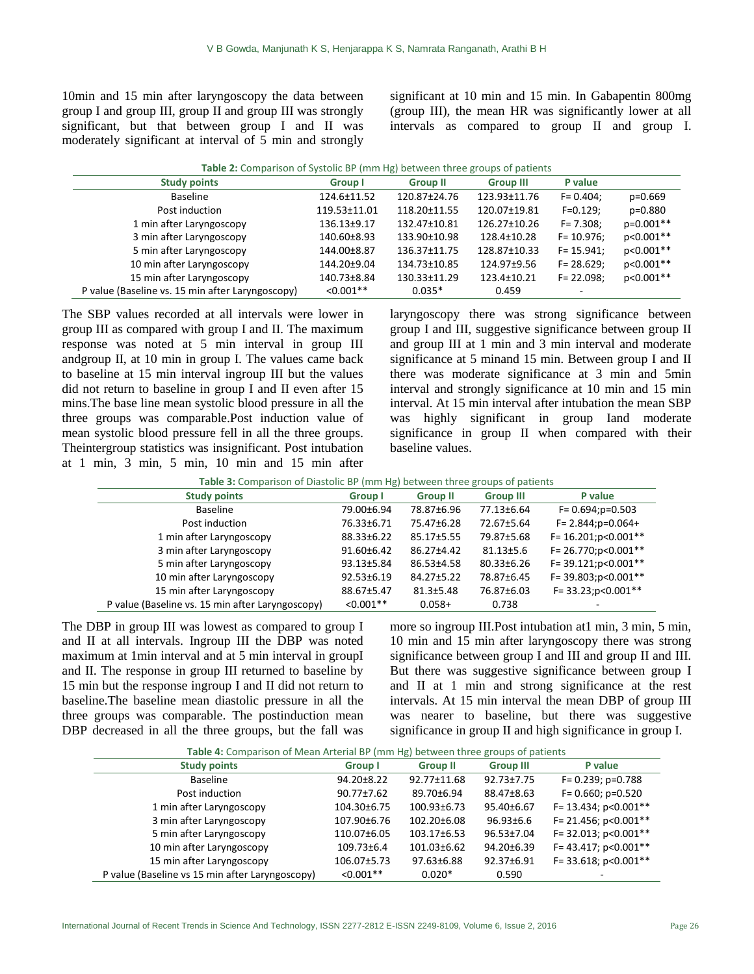10min and 15 min after laryngoscopy the data between group I and group III, group II and group III was strongly significant, but that between group I and II was moderately significant at interval of 5 min and strongly significant at 10 min and 15 min. In Gabapentin 800mg (group III), the mean HR was significantly lower at all intervals as compared to group II and group I.

| Table 2: Comparison of Systolic BP (mm Hg) between three groups of patients |                 |                 |                  |                |             |
|-----------------------------------------------------------------------------|-----------------|-----------------|------------------|----------------|-------------|
| <b>Study points</b>                                                         | Group I         | <b>Group II</b> | <b>Group III</b> | P value        |             |
| <b>Baseline</b>                                                             | 124.6±11.52     | 120.87±24.76    | 123.93±11.76     | $F = 0.404$ :  | $p=0.669$   |
| Post induction                                                              | 119.53±11.01    | 118.20±11.55    | 120.07±19.81     | $F=0.129$ ;    | p=0.880     |
| 1 min after Laryngoscopy                                                    | $136.13 + 9.17$ | 132.47±10.81    | 126.27±10.26     | $F = 7.308$ ;  | $p=0.001**$ |
| 3 min after Laryngoscopy                                                    | 140.60±8.93     | 133.90±10.98    | 128.4±10.28      | $F = 10.976$ ; | $p<0.001**$ |
| 5 min after Laryngoscopy                                                    | 144.00±8.87     | 136.37±11.75    | 128.87±10.33     | $F = 15.941$ ; | $p<0.001**$ |
| 10 min after Laryngoscopy                                                   | 144.20±9.04     | 134.73±10.85    | 124.97±9.56      | $F = 28.629$ ; | p<0.001**   |
| 15 min after Laryngoscopy                                                   | 140.73±8.84     | 130.33±11.29    | 123.4±10.21      | $F = 22.098$ ; | $p<0.001**$ |
| P value (Baseline vs. 15 min after Laryngoscopy)                            | $< 0.001$ **    | $0.035*$        | 0.459            |                |             |

The SBP values recorded at all intervals were lower in group III as compared with group I and II. The maximum response was noted at 5 min interval in group III andgroup II, at 10 min in group I. The values came back to baseline at 15 min interval ingroup III but the values did not return to baseline in group I and II even after 15 mins.The base line mean systolic blood pressure in all the three groups was comparable.Post induction value of mean systolic blood pressure fell in all the three groups. Theintergroup statistics was insignificant. Post intubation at 1 min, 3 min, 5 min, 10 min and 15 min after

laryngoscopy there was strong significance between group I and III, suggestive significance between group II and group III at 1 min and 3 min interval and moderate significance at 5 minand 15 min. Between group I and II there was moderate significance at 3 min and 5min interval and strongly significance at 10 min and 15 min interval. At 15 min interval after intubation the mean SBP was highly significant in group Iand moderate significance in group II when compared with their baseline values.

**Table 3:** Comparison of Diastolic BP (mm Hg) between three groups of patients

| <b>Study points</b>                              | <b>Group I</b>   | <b>Group II</b> | <b>Group III</b> | P value                       |
|--------------------------------------------------|------------------|-----------------|------------------|-------------------------------|
| Baseline                                         | 79.00±6.94       | 78.87±6.96      | 77.13±6.64       | $F = 0.694; p = 0.503$        |
| Post induction                                   | 76.33±6.71       | 75.47±6.28      | 72.67±5.64       | $F = 2.844$ ; $p = 0.064 +$   |
| 1 min after Laryngoscopy                         | 88.33±6.22       | 85.17±5.55      | 79.87±5.68       | $F = 16.201; p < 0.001**$     |
| 3 min after Laryngoscopy                         | $91.60 \pm 6.42$ | 86.27±4.42      | $81.13 \pm 5.6$  | $F = 26.770; p < 0.001**$     |
| 5 min after Laryngoscopy                         | 93.13+5.84       | 86.53±4.58      | $80.33 \pm 6.26$ | $F = 39.121$ ; $p < 0.001$ ** |
| 10 min after Laryngoscopy                        | $92.53 \pm 6.19$ | 84.27±5.22      | 78.87±6.45       | $F = 39.803; p < 0.001**$     |
| 15 min after Laryngoscopy                        | 88.67±5.47       | $81.3 \pm 5.48$ | 76.87±6.03       | F= 33.23;p<0.001**            |
| P value (Baseline vs. 15 min after Laryngoscopy) | $< 0.001**$      | $0.058 +$       | 0.738            |                               |

The DBP in group III was lowest as compared to group I and II at all intervals. Ingroup III the DBP was noted maximum at 1min interval and at 5 min interval in groupI and II. The response in group III returned to baseline by 15 min but the response ingroup I and II did not return to baseline.The baseline mean diastolic pressure in all the three groups was comparable. The postinduction mean DBP decreased in all the three groups, but the fall was

more so ingroup III.Post intubation at1 min, 3 min, 5 min, 10 min and 15 min after laryngoscopy there was strong significance between group I and III and group II and III. But there was suggestive significance between group I and II at 1 min and strong significance at the rest intervals. At 15 min interval the mean DBP of group III was nearer to baseline, but there was suggestive significance in group II and high significance in group I.

| Table 4: Comparison of Mean Arterial BP (mm Hg) between three groups of patients |                   |                   |                  |                              |  |
|----------------------------------------------------------------------------------|-------------------|-------------------|------------------|------------------------------|--|
| <b>Study points</b>                                                              | <b>Group I</b>    | <b>Group II</b>   | <b>Group III</b> | P value                      |  |
| <b>Baseline</b>                                                                  | 94.20±8.22        | 92.77±11.68       | 92.73±7.75       | $F = 0.239$ ; p=0.788        |  |
| Post induction                                                                   | $90.77 \pm 7.62$  | 89.70±6.94        | 88.47±8.63       | $F = 0.660; p = 0.520$       |  |
| 1 min after Laryngoscopy                                                         | $104.30 \pm 6.75$ | $100.93 \pm 6.73$ | $95.40\pm 6.67$  | $F = 13.434$ ; $p < 0.001**$ |  |
| 3 min after Laryngoscopy                                                         | 107.90±6.76       | $102.20 \pm 6.08$ | $96.93 \pm 6.6$  | F= 21.456; $p<0.001**$       |  |
| 5 min after Laryngoscopy                                                         | 110.07±6.05       | 103.17±6.53       | $96.53 \pm 7.04$ | $F = 32.013$ ; $p < 0.001**$ |  |
| 10 min after Laryngoscopy                                                        | $109.73 \pm 6.4$  | $101.03\pm 6.62$  | 94.20±6.39       | $F = 43.417$ ; $p < 0.001**$ |  |
| 15 min after Laryngoscopy                                                        | 106.07±5.73       | $97.63 \pm 6.88$  | 92.37±6.91       | $F = 33.618$ ; $p < 0.001**$ |  |
| P value (Baseline vs 15 min after Laryngoscopy)                                  | $< 0.001**$       | $0.020*$          | 0.590            |                              |  |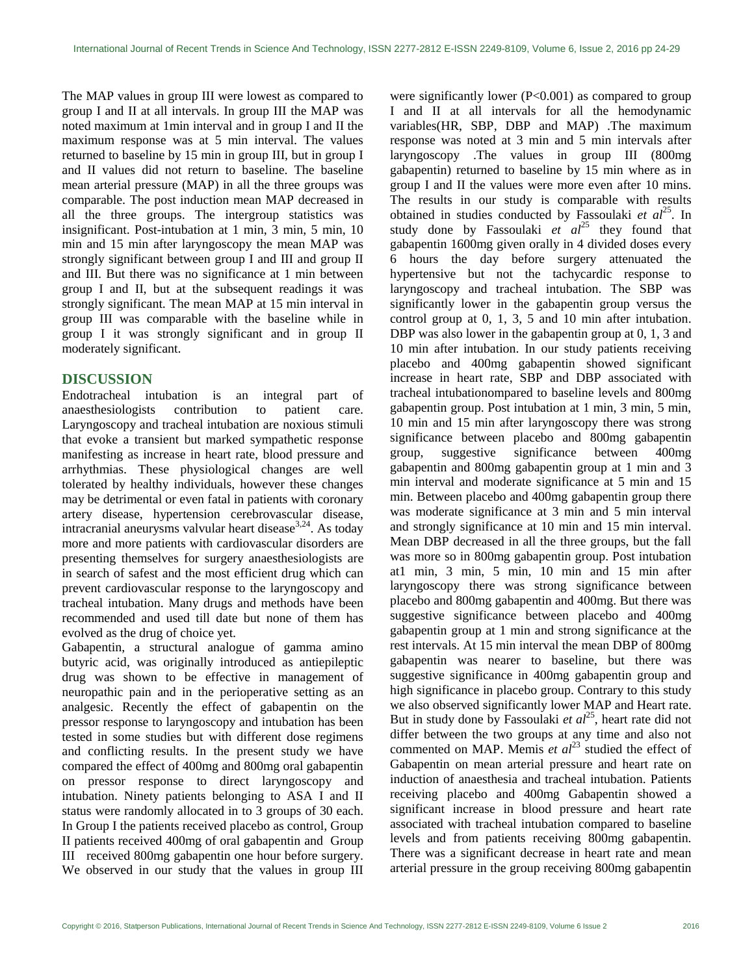The MAP values in group III were lowest as compared to group I and II at all intervals. In group III the MAP was noted maximum at 1min interval and in group I and II the maximum response was at 5 min interval. The values returned to baseline by 15 min in group III, but in group I and II values did not return to baseline. The baseline mean arterial pressure (MAP) in all the three groups was comparable. The post induction mean MAP decreased in all the three groups. The intergroup statistics was insignificant. Post-intubation at 1 min, 3 min, 5 min, 10 min and 15 min after laryngoscopy the mean MAP was strongly significant between group I and III and group II and III. But there was no significance at 1 min between group I and II, but at the subsequent readings it was strongly significant. The mean MAP at 15 min interval in group III was comparable with the baseline while in group I it was strongly significant and in group II moderately significant.

#### **DISCUSSION**

Endotracheal intubation is an integral part of anaesthesiologists contribution to patient care. Laryngoscopy and tracheal intubation are noxious stimuli that evoke a transient but marked sympathetic response manifesting as increase in heart rate, blood pressure and arrhythmias. These physiological changes are well tolerated by healthy individuals, however these changes may be detrimental or even fatal in patients with coronary artery disease, hypertension cerebrovascular disease, intracranial aneurysms valvular heart disease  $3,24$ . As today more and more patients with cardiovascular disorders are presenting themselves for surgery anaesthesiologists are in search of safest and the most efficient drug which can prevent cardiovascular response to the laryngoscopy and tracheal intubation. Many drugs and methods have been recommended and used till date but none of them has evolved as the drug of choice yet.

Gabapentin, a structural analogue of gamma amino butyric acid, was originally introduced as antiepileptic drug was shown to be effective in management of neuropathic pain and in the perioperative setting as an analgesic. Recently the effect of gabapentin on the pressor response to laryngoscopy and intubation has been tested in some studies but with different dose regimens and conflicting results. In the present study we have compared the effect of 400mg and 800mg oral gabapentin on pressor response to direct laryngoscopy and intubation. Ninety patients belonging to ASA I and II status were randomly allocated in to 3 groups of 30 each. In Group I the patients received placebo as control, Group II patients received 400mg of oral gabapentin and Group III received 800mg gabapentin one hour before surgery. We observed in our study that the values in group III

were significantly lower  $(P<0.001)$  as compared to group I and II at all intervals for all the hemodynamic variables(HR, SBP, DBP and MAP) .The maximum response was noted at 3 min and 5 min intervals after laryngoscopy .The values in group III (800mg gabapentin) returned to baseline by 15 min where as in group I and II the values were more even after 10 mins. The results in our study is comparable with results obtained in studies conducted by Fassoulaki *et al*<sup>25</sup>. In study done by Fassoulaki  $et \text{ } a l^{25}$  they found that gabapentin 1600mg given orally in 4 divided doses every 6 hours the day before surgery attenuated the hypertensive but not the tachycardic response to laryngoscopy and tracheal intubation. The SBP was significantly lower in the gabapentin group versus the control group at 0, 1, 3, 5 and 10 min after intubation. DBP was also lower in the gabapentin group at 0, 1, 3 and 10 min after intubation. In our study patients receiving placebo and 400mg gabapentin showed significant increase in heart rate, SBP and DBP associated with tracheal intubationompared to baseline levels and 800mg gabapentin group. Post intubation at 1 min, 3 min, 5 min, 10 min and 15 min after laryngoscopy there was strong significance between placebo and 800mg gabapentin group, suggestive significance between 400mg gabapentin and 800mg gabapentin group at 1 min and 3 min interval and moderate significance at 5 min and 15 min. Between placebo and 400mg gabapentin group there was moderate significance at 3 min and 5 min interval and strongly significance at 10 min and 15 min interval. Mean DBP decreased in all the three groups, but the fall was more so in 800mg gabapentin group. Post intubation at1 min, 3 min, 5 min, 10 min and 15 min after laryngoscopy there was strong significance between placebo and 800mg gabapentin and 400mg. But there was suggestive significance between placebo and 400mg gabapentin group at 1 min and strong significance at the rest intervals. At 15 min interval the mean DBP of 800mg gabapentin was nearer to baseline, but there was suggestive significance in 400mg gabapentin group and high significance in placebo group. Contrary to this study we also observed significantly lower MAP and Heart rate. But in study done by Fassoulaki *et al*<sup>25</sup>, heart rate did not differ between the two groups at any time and also not commented on MAP. Memis *et al*<sup>23</sup> studied the effect of Gabapentin on mean arterial pressure and heart rate on induction of anaesthesia and tracheal intubation. Patients receiving placebo and 400mg Gabapentin showed a significant increase in blood pressure and heart rate associated with tracheal intubation compared to baseline levels and from patients receiving 800mg gabapentin. There was a significant decrease in heart rate and mean arterial pressure in the group receiving 800mg gabapentin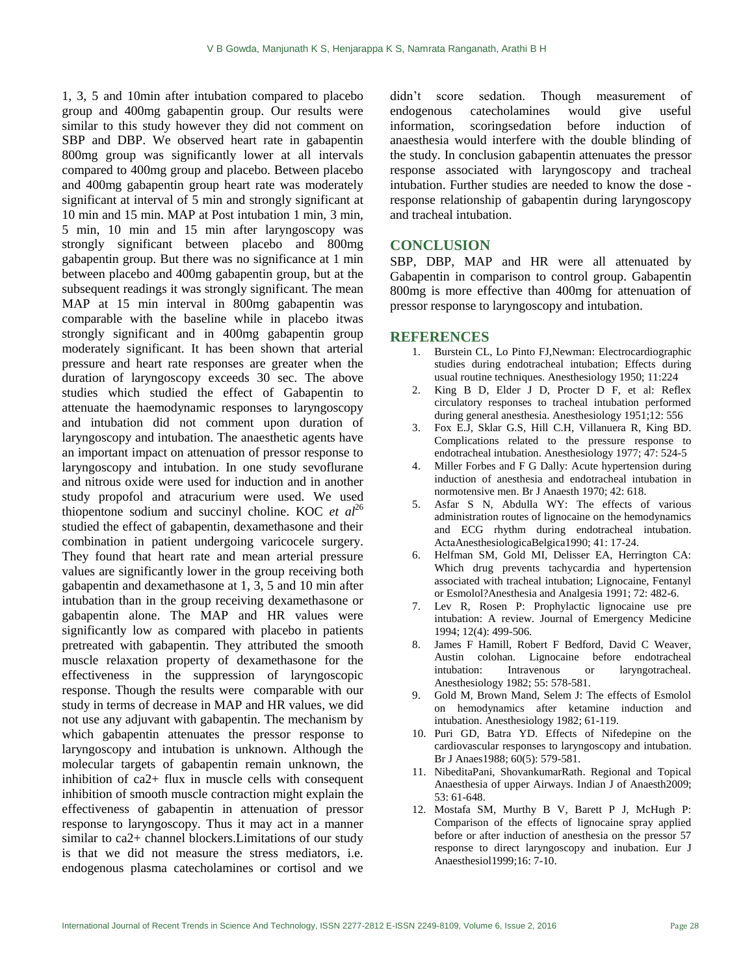1, 3, 5 and 10min after intubation compared to placebo group and 400mg gabapentin group. Our results were similar to this study however they did not comment on SBP and DBP. We observed heart rate in gabapentin 800mg group was significantly lower at all intervals compared to 400mg group and placebo. Between placebo and 400mg gabapentin group heart rate was moderately significant at interval of 5 min and strongly significant at 10 min and 15 min. MAP at Post intubation 1 min, 3 min, 5 min, 10 min and 15 min after laryngoscopy was strongly significant between placebo and 800mg gabapentin group. But there was no significance at 1 min between placebo and 400mg gabapentin group, but at the subsequent readings it was strongly significant. The mean MAP at 15 min interval in 800mg gabapentin was comparable with the baseline while in placebo itwas strongly significant and in 400mg gabapentin group moderately significant. It has been shown that arterial pressure and heart rate responses are greater when the duration of laryngoscopy exceeds 30 sec. The above studies which studied the effect of Gabapentin to attenuate the haemodynamic responses to laryngoscopy and intubation did not comment upon duration of laryngoscopy and intubation. The anaesthetic agents have an important impact on attenuation of pressor response to laryngoscopy and intubation. In one study sevoflurane and nitrous oxide were used for induction and in another study propofol and atracurium were used. We used thiopentone sodium and succinyl choline. KOC *et al*<sup>26</sup> studied the effect of gabapentin, dexamethasone and their combination in patient undergoing varicocele surgery. They found that heart rate and mean arterial pressure values are significantly lower in the group receiving both gabapentin and dexamethasone at 1, 3, 5 and 10 min after intubation than in the group receiving dexamethasone or gabapentin alone. The MAP and HR values were significantly low as compared with placebo in patients pretreated with gabapentin. They attributed the smooth muscle relaxation property of dexamethasone for the effectiveness in the suppression of laryngoscopic response. Though the results were comparable with our study in terms of decrease in MAP and HR values, we did not use any adjuvant with gabapentin. The mechanism by which gabapentin attenuates the pressor response to laryngoscopy and intubation is unknown. Although the molecular targets of gabapentin remain unknown, the inhibition of ca2+ flux in muscle cells with consequent inhibition of smooth muscle contraction might explain the effectiveness of gabapentin in attenuation of pressor response to laryngoscopy. Thus it may act in a manner similar to ca2+ channel blockers.Limitations of our study is that we did not measure the stress mediators, i.e. endogenous plasma catecholamines or cortisol and we didn't score sedation. Though measurement of endogenous catecholamines would give useful information, scoringsedation before induction of anaesthesia would interfere with the double blinding of the study. In conclusion gabapentin attenuates the pressor response associated with laryngoscopy and tracheal intubation. Further studies are needed to know the dose response relationship of gabapentin during laryngoscopy and tracheal intubation.

## **CONCLUSION**

SBP, DBP, MAP and HR were all attenuated by Gabapentin in comparison to control group. Gabapentin 800mg is more effective than 400mg for attenuation of pressor response to laryngoscopy and intubation.

#### **REFERENCES**

- 1. Burstein CL, Lo Pinto FJ,Newman: Electrocardiographic studies during endotracheal intubation; Effects during usual routine techniques. Anesthesiology 1950; 11:224
- 2. King B D, Elder J D, Procter D F, et al: Reflex circulatory responses to tracheal intubation performed during general anesthesia. Anesthesiology 1951;12: 556
- 3. Fox E.J, Sklar G.S, Hill C.H, Villanuera R, King BD. Complications related to the pressure response to endotracheal intubation. Anesthesiology 1977; 47: 524-5
- 4. Miller Forbes and F G Dally: Acute hypertension during induction of anesthesia and endotracheal intubation in normotensive men. Br J Anaesth 1970; 42: 618.
- 5. Asfar S N, Abdulla WY: The effects of various administration routes of lignocaine on the hemodynamics and ECG rhythm during endotracheal intubation. ActaAnesthesiologicaBelgica1990; 41: 17-24.
- 6. Helfman SM, Gold MI, Delisser EA, Herrington CA: Which drug prevents tachycardia and hypertension associated with tracheal intubation; Lignocaine, Fentanyl or Esmolol?Anesthesia and Analgesia 1991; 72: 482-6.
- 7. Lev R, Rosen P: Prophylactic lignocaine use pre intubation: A review. Journal of Emergency Medicine 1994; 12(4): 499-506.
- 8. James F Hamill, Robert F Bedford, David C Weaver, Austin colohan. Lignocaine before endotracheal intubation: Intravenous or laryngotracheal. Anesthesiology 1982; 55: 578-581.
- 9. Gold M, Brown Mand, Selem J: The effects of Esmolol on hemodynamics after ketamine induction and intubation. Anesthesiology 1982; 61-119.
- 10. Puri GD, Batra YD. Effects of Nifedepine on the cardiovascular responses to laryngoscopy and intubation. Br J Anaes1988; 60(5): 579-581.
- 11. NibeditaPani, ShovankumarRath. Regional and Topical Anaesthesia of upper Airways. Indian J of Anaesth2009; 53: 61-648.
- 12. Mostafa SM, Murthy B V, Barett P J, McHugh P: Comparison of the effects of lignocaine spray applied before or after induction of anesthesia on the pressor 57 response to direct laryngoscopy and inubation. Eur J Anaesthesiol1999;16: 7-10.